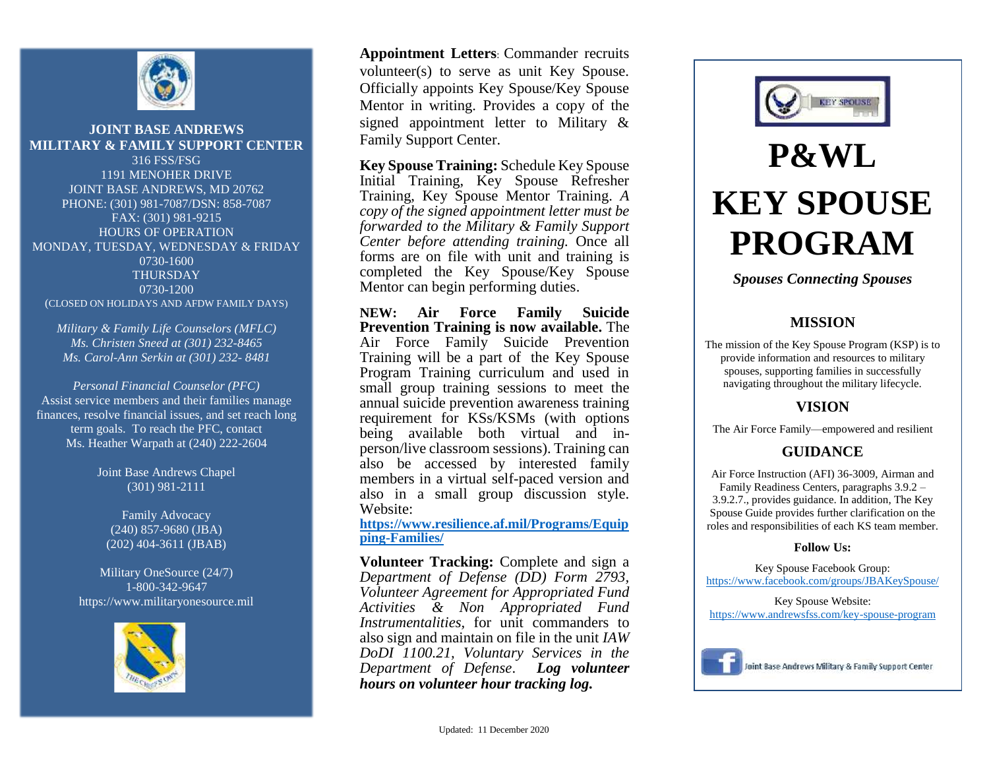

#### **JOINT BASE ANDREWS MILITARY & FAMILY SUPPORT CENTER**

316 FSS/FSG 1191 MENOHER DRIVE JOINT BASE ANDREWS, MD 20762 PHONE: (301) 981-7087/DSN: 858-7087 FAX: (301) 981-9215 HOURS OF OPERATION MONDAY, TUESDAY, WEDNESDAY & FRIDAY 0730-1600 THURSDAY 0730-1200 (CLOSED ON HOLIDAYS AND AFDW FAMILY DAYS)

*Military & Family Life Counselors (MFLC) Ms. Christen Sneed at (301) 232-8465 Ms. Carol-Ann Serkin at (301) 232- 8481*

*Personal Financial Counselor (PFC)* Assist service members and their families manage finances, resolve financial issues, and set reach long term goals. To reach the PFC, contact Ms. Heather Warpath at (240) 222-2604

> Joint Base Andrews Chapel (301) 981-2111

Family Advocacy (240) 857-9680 (JBA) (202) 404-3611 (JBAB)

Military OneSource (24/7) 1-800-342-9647 https://www.militaryonesource.mil



**Appointment Letters**: Commander recruits volunteer(s) to serve as unit Key Spouse. Officially appoints Key Spouse/Key Spouse Mentor in writing. Provides a copy of the signed appointment letter to Military & Family Support Center.

**Key Spouse Training:** Schedule Key Spouse Initial Training, Key Spouse Refresher Training, Key Spouse Mentor Training. *A copy of the signed appointment letter must be forwarded to the Military & Family Support Center before attending training.* Once all forms are on file with unit and training is completed the Key Spouse/Key Spouse Mentor can begin performing duties.

**NEW: Air Force Family Suicide Prevention Training is now available.** The Air Force Family Suicide Prevention Training will be a part of the Key Spouse Program Training curriculum and used in small group training sessions to meet the annual suicide prevention awareness training requirement for KSs/KSMs (with options being available both virtual and inperson/live classroom sessions). Training can also be accessed by interested family members in a virtual self-paced version and also in a small group discussion style. Website:

**[https://www.resilience.af.mil/Programs/Equip](https://www.resilience.af.mil/Programs/Equipping-Families/) [ping-Families/](https://www.resilience.af.mil/Programs/Equipping-Families/)**

**Volunteer Tracking:** Complete and sign a *Department of Defense (DD) Form 2793, Volunteer Agreement for Appropriated Fund Activities & Non Appropriated Fund Instrumentalities,* for unit commanders to also sign and maintain on file in the unit *IAW DoDI 1100.21, Voluntary Services in the Department of Defense*. *Log volunteer hours on volunteer hour tracking log.*



# **P&WL KEY SPOUSE PROGRAM**

*Spouses Connecting Spouses*

### **MISSION**

The mission of the Key Spouse Program (KSP) is to provide information and resources to military spouses, supporting families in successfully navigating throughout the military lifecycle.

#### **VISION**

The Air Force Family—empowered and resilient

### **GUIDANCE**

Air Force Instruction (AFI) 36-3009, Airman and Family Readiness Centers, paragraphs 3.9.2 – 3.9.2.7., provides guidance. In addition, The Key Spouse Guide provides further clarification on the roles and responsibilities of each KS team member.

#### **Follow Us:**

Key Spouse Facebook Group: <https://www.facebook.com/groups/JBAKeySpouse/>

Key Spouse Website: <https://www.andrewsfss.com/key-spouse-program>